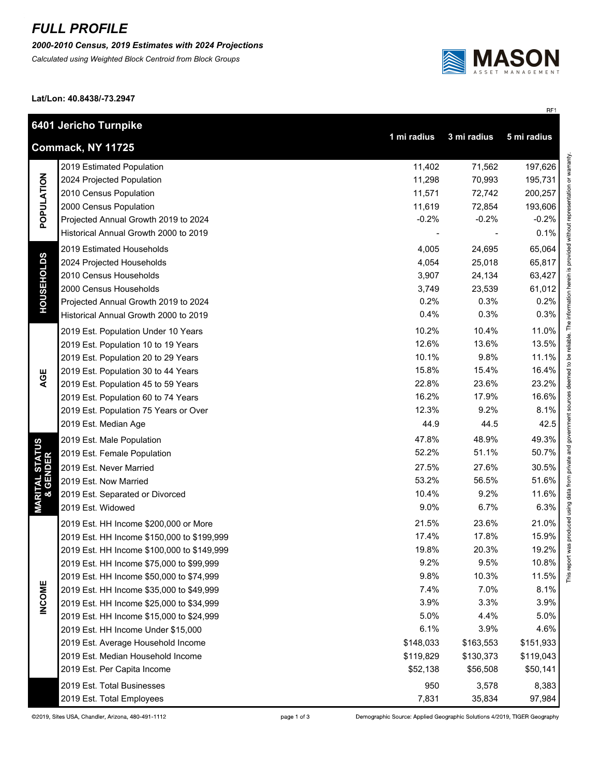## *FULL PROFILE*

*2000-2010 Census, 2019 Estimates with 2024 Projections*

*Calculated using Weighted Block Centroid from Block Groups*



RF1

**Lat/Lon: 40.8438/-73.2947**

|                                                                | 6401 Jericho Turnpike                      |           |           |           |  |  |
|----------------------------------------------------------------|--------------------------------------------|-----------|-----------|-----------|--|--|
| 1 mi radius<br>3 mi radius<br>5 mi radius<br>Commack, NY 11725 |                                            |           |           |           |  |  |
| POPULATION                                                     | 2019 Estimated Population                  | 11,402    | 71,562    | 197,626   |  |  |
|                                                                | 2024 Projected Population                  | 11,298    | 70,993    | 195,731   |  |  |
|                                                                | 2010 Census Population                     | 11,571    | 72,742    | 200,257   |  |  |
|                                                                | 2000 Census Population                     | 11,619    | 72,854    | 193,606   |  |  |
|                                                                | Projected Annual Growth 2019 to 2024       | $-0.2%$   | $-0.2%$   | $-0.2\%$  |  |  |
|                                                                | Historical Annual Growth 2000 to 2019      |           |           | 0.1%      |  |  |
| <b>HOUSEHOLDS</b>                                              | 2019 Estimated Households                  | 4,005     | 24,695    | 65,064    |  |  |
|                                                                | 2024 Projected Households                  | 4,054     | 25,018    | 65,817    |  |  |
|                                                                | 2010 Census Households                     | 3,907     | 24,134    | 63,427    |  |  |
|                                                                | 2000 Census Households                     | 3,749     | 23,539    | 61,012    |  |  |
|                                                                | Projected Annual Growth 2019 to 2024       | 0.2%      | 0.3%      | 0.2%      |  |  |
|                                                                | Historical Annual Growth 2000 to 2019      | 0.4%      | 0.3%      | 0.3%      |  |  |
|                                                                | 2019 Est. Population Under 10 Years        | 10.2%     | 10.4%     | 11.0%     |  |  |
|                                                                | 2019 Est. Population 10 to 19 Years        | 12.6%     | 13.6%     | 13.5%     |  |  |
|                                                                | 2019 Est. Population 20 to 29 Years        | 10.1%     | 9.8%      | 11.1%     |  |  |
|                                                                | 2019 Est. Population 30 to 44 Years        | 15.8%     | 15.4%     | 16.4%     |  |  |
| AGE                                                            | 2019 Est. Population 45 to 59 Years        | 22.8%     | 23.6%     | 23.2%     |  |  |
|                                                                | 2019 Est. Population 60 to 74 Years        | 16.2%     | 17.9%     | 16.6%     |  |  |
|                                                                | 2019 Est. Population 75 Years or Over      | 12.3%     | 9.2%      | 8.1%      |  |  |
|                                                                | 2019 Est. Median Age                       | 44.9      | 44.5      | 42.5      |  |  |
|                                                                | 2019 Est. Male Population                  | 47.8%     | 48.9%     | 49.3%     |  |  |
| <b>MARITAL STATUS<br/>&amp; GENDER</b>                         | 2019 Est. Female Population                | 52.2%     | 51.1%     | 50.7%     |  |  |
|                                                                | 2019 Est. Never Married                    | 27.5%     | 27.6%     | 30.5%     |  |  |
|                                                                | 2019 Est. Now Married                      | 53.2%     | 56.5%     | 51.6%     |  |  |
|                                                                | 2019 Est. Separated or Divorced            | 10.4%     | 9.2%      | 11.6%     |  |  |
|                                                                | 2019 Est. Widowed                          | 9.0%      | 6.7%      | 6.3%      |  |  |
|                                                                | 2019 Est. HH Income \$200,000 or More      | 21.5%     | 23.6%     | 21.0%     |  |  |
|                                                                | 2019 Est. HH Income \$150,000 to \$199,999 | 17.4%     | 17.8%     | 15.9%     |  |  |
|                                                                | 2019 Est. HH Income \$100,000 to \$149,999 | 19.8%     | 20.3%     | 19.2%     |  |  |
|                                                                | 2019 Est. HH Income \$75,000 to \$99,999   | 9.2%      | 9.5%      | 10.8%     |  |  |
|                                                                | 2019 Est. HH Income \$50,000 to \$74,999   | 9.8%      | 10.3%     | 11.5%     |  |  |
| <b>INCOME</b>                                                  | 2019 Est. HH Income \$35,000 to \$49,999   | 7.4%      | 7.0%      | 8.1%      |  |  |
|                                                                | 2019 Est. HH Income \$25,000 to \$34,999   | 3.9%      | 3.3%      | 3.9%      |  |  |
|                                                                | 2019 Est. HH Income \$15,000 to \$24,999   | 5.0%      | 4.4%      | 5.0%      |  |  |
|                                                                | 2019 Est. HH Income Under \$15,000         | 6.1%      | 3.9%      | 4.6%      |  |  |
|                                                                | 2019 Est. Average Household Income         | \$148,033 | \$163,553 | \$151,933 |  |  |
|                                                                | 2019 Est. Median Household Income          | \$119,829 | \$130,373 | \$119,043 |  |  |
|                                                                | 2019 Est. Per Capita Income                | \$52,138  | \$56,508  | \$50,141  |  |  |
|                                                                | 2019 Est. Total Businesses                 | 950       | 3,578     | 8,383     |  |  |
|                                                                | 2019 Est. Total Employees                  | 7,831     | 35,834    | 97,984    |  |  |

Demographic Source: Applied Geographic Solutions 4/2019, TIGER Geography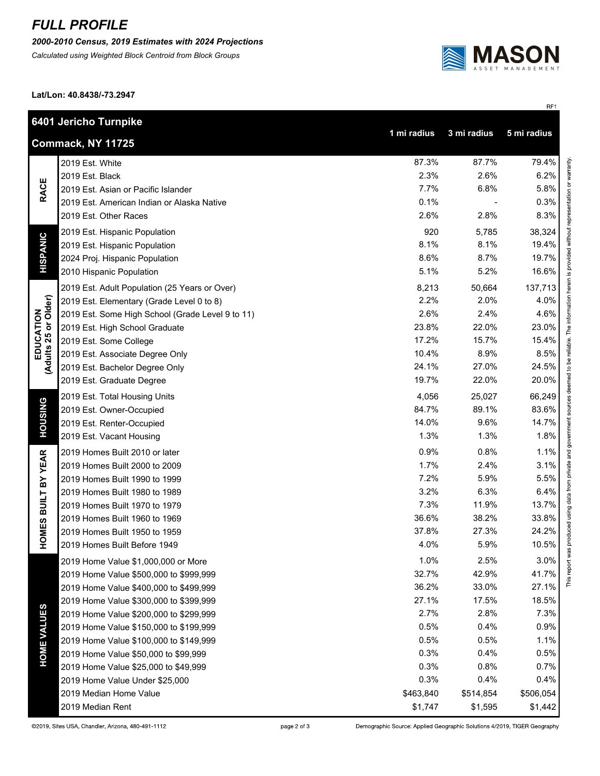## *FULL PROFILE*

*2000-2010 Census, 2019 Estimates with 2024 Projections*

*Calculated using Weighted Block Centroid from Block Groups*



RF1

**Lat/Lon: 40.8438/-73.2947**

|                                            | 6401 Jericho Turnpike                                          |           |           |           |  |  |  |
|--------------------------------------------|----------------------------------------------------------------|-----------|-----------|-----------|--|--|--|
|                                            | 1 mi radius<br>3 mi radius<br>5 mi radius<br>Commack, NY 11725 |           |           |           |  |  |  |
| <b>RACE</b><br><b>HISPANIC</b>             | 2019 Est. White                                                | 87.3%     | 87.7%     | 79.4%     |  |  |  |
|                                            | 2019 Est. Black                                                | 2.3%      | 2.6%      | 6.2%      |  |  |  |
|                                            | 2019 Est. Asian or Pacific Islander                            | 7.7%      | 6.8%      | 5.8%      |  |  |  |
|                                            | 2019 Est. American Indian or Alaska Native                     | 0.1%      |           | 0.3%      |  |  |  |
|                                            | 2019 Est. Other Races                                          | 2.6%      | 2.8%      | 8.3%      |  |  |  |
|                                            | 2019 Est. Hispanic Population                                  | 920       | 5,785     | 38,324    |  |  |  |
|                                            | 2019 Est. Hispanic Population                                  | 8.1%      | 8.1%      | 19.4%     |  |  |  |
|                                            | 2024 Proj. Hispanic Population                                 | 8.6%      | 8.7%      | 19.7%     |  |  |  |
|                                            | 2010 Hispanic Population                                       | 5.1%      | 5.2%      | 16.6%     |  |  |  |
|                                            | 2019 Est. Adult Population (25 Years or Over)                  | 8,213     | 50,664    | 137,713   |  |  |  |
|                                            | 2019 Est. Elementary (Grade Level 0 to 8)                      | 2.2%      | 2.0%      | 4.0%      |  |  |  |
| or Older)<br>EDUCATION<br>Adults 25 or Olc | 2019 Est. Some High School (Grade Level 9 to 11)               | 2.6%      | 2.4%      | 4.6%      |  |  |  |
|                                            | 2019 Est. High School Graduate                                 | 23.8%     | 22.0%     | 23.0%     |  |  |  |
|                                            | 2019 Est. Some College                                         | 17.2%     | 15.7%     | 15.4%     |  |  |  |
|                                            | 2019 Est. Associate Degree Only                                | 10.4%     | 8.9%      | 8.5%      |  |  |  |
|                                            | 2019 Est. Bachelor Degree Only                                 | 24.1%     | 27.0%     | 24.5%     |  |  |  |
|                                            | 2019 Est. Graduate Degree                                      | 19.7%     | 22.0%     | 20.0%     |  |  |  |
|                                            | 2019 Est. Total Housing Units                                  | 4,056     | 25,027    | 66,249    |  |  |  |
|                                            | 2019 Est. Owner-Occupied                                       | 84.7%     | 89.1%     | 83.6%     |  |  |  |
| <b>HOUSING</b>                             | 2019 Est. Renter-Occupied                                      | 14.0%     | 9.6%      | 14.7%     |  |  |  |
|                                            | 2019 Est. Vacant Housing                                       | 1.3%      | 1.3%      | 1.8%      |  |  |  |
|                                            | 2019 Homes Built 2010 or later                                 | 0.9%      | 0.8%      | 1.1%      |  |  |  |
|                                            | 2019 Homes Built 2000 to 2009                                  | 1.7%      | 2.4%      | 3.1%      |  |  |  |
|                                            | 2019 Homes Built 1990 to 1999                                  | 7.2%      | 5.9%      | 5.5%      |  |  |  |
|                                            | 2019 Homes Built 1980 to 1989                                  | 3.2%      | 6.3%      | 6.4%      |  |  |  |
|                                            | 2019 Homes Built 1970 to 1979                                  | 7.3%      | 11.9%     | 13.7%     |  |  |  |
|                                            | 2019 Homes Built 1960 to 1969                                  | 36.6%     | 38.2%     | 33.8%     |  |  |  |
| <b>HOMES BUILT BY YEAR</b>                 | 2019 Homes Built 1950 to 1959                                  | 37.8%     | 27.3%     | 24.2%     |  |  |  |
|                                            | 2019 Homes Built Before 1949                                   | 4.0%      | 5.9%      | 10.5%     |  |  |  |
|                                            | 2019 Home Value \$1,000,000 or More                            | 1.0%      | 2.5%      | 3.0%      |  |  |  |
|                                            | 2019 Home Value \$500,000 to \$999,999                         | 32.7%     | 42.9%     | 41.7%     |  |  |  |
|                                            | 2019 Home Value \$400,000 to \$499,999                         | 36.2%     | 33.0%     | 27.1%     |  |  |  |
| <b>HOME VALUES</b>                         | 2019 Home Value \$300,000 to \$399,999                         | 27.1%     | 17.5%     | 18.5%     |  |  |  |
|                                            | 2019 Home Value \$200,000 to \$299,999                         | 2.7%      | 2.8%      | 7.3%      |  |  |  |
|                                            | 2019 Home Value \$150,000 to \$199,999                         | 0.5%      | 0.4%      | 0.9%      |  |  |  |
|                                            | 2019 Home Value \$100,000 to \$149,999                         | 0.5%      | 0.5%      | 1.1%      |  |  |  |
|                                            | 2019 Home Value \$50,000 to \$99,999                           | 0.3%      | 0.4%      | 0.5%      |  |  |  |
|                                            | 2019 Home Value \$25,000 to \$49,999                           | 0.3%      | 0.8%      | 0.7%      |  |  |  |
|                                            | 2019 Home Value Under \$25,000                                 | 0.3%      | 0.4%      | 0.4%      |  |  |  |
|                                            | 2019 Median Home Value                                         | \$463,840 | \$514,854 | \$506,054 |  |  |  |
|                                            | 2019 Median Rent                                               | \$1,747   | \$1,595   | \$1,442   |  |  |  |

Demographic Source: Applied Geographic Solutions 4/2019, TIGER Geography